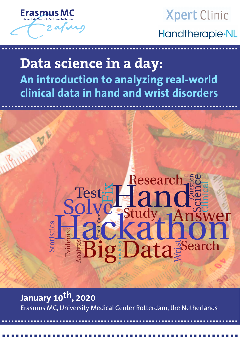

# **Xpert Clinic** Handtherapie·NL

## **Data science in a day: An introduction to analyzing real-world clinical data in hand and wrist disorders**

a a a a a a a a a a a a a a a a a a a a a a a a a a a a a a a a a a a a a a a a a a a a a a a a a a a a a a a a a a a a a a a a a a a a a a a a a a

a a a a a a a a a a a a a a a a a a a a a a a a a a a a a a a a a a a a a a a a a a a a a a a a a a a a a a a a a a a a a a a a a a a a a a a a a a



**January 10th , 2020** Erasmus MC, University Medical Center Rotterdam, the Netherlands

a a a a a a a a a a a a a a a a a a a a a a a a a a a a a a a a a a a a a a a a a a a a a a a a a a a a a a a a a a a a a a a a a a a a a a a a a a

a a a a a a a a a a a a a a a a a a a a a a a a a a a a a a a a a a a a a a a a a a a a a a a a a a a a

a a a a a a a a a a a a a a a a a a a a a a a a a a a a a a a a a a a a a a a a a a a a a a a a a a a a a a a a a a a a a a a a a a a a a a a a a a